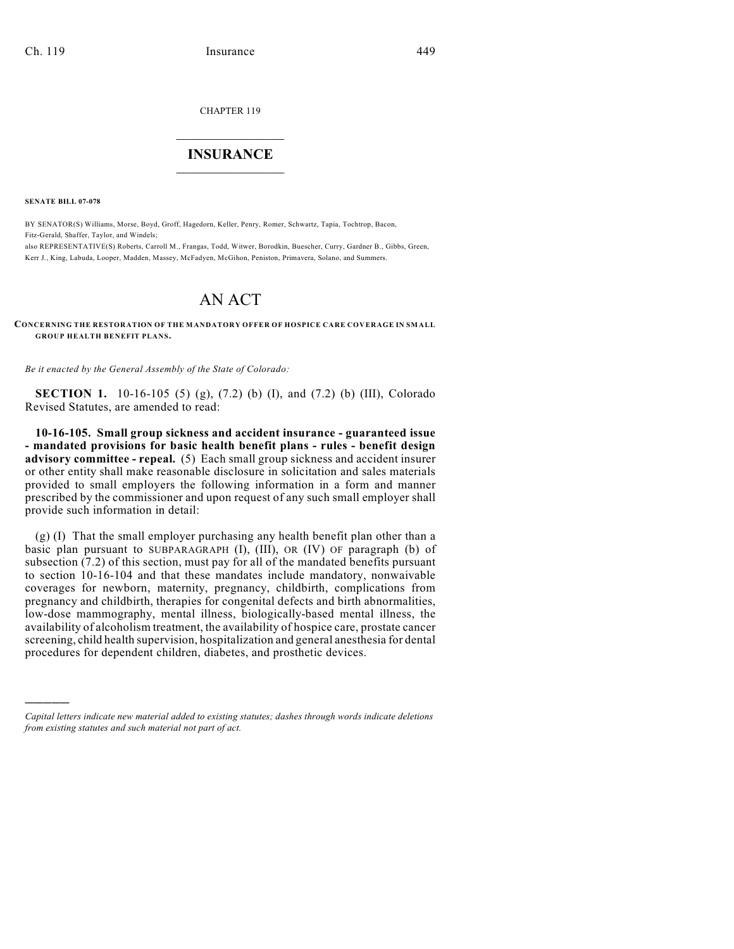CHAPTER 119

## $\mathcal{L}_\text{max}$  . The set of the set of the set of the set of the set of the set of the set of the set of the set of the set of the set of the set of the set of the set of the set of the set of the set of the set of the set **INSURANCE**  $\frac{1}{2}$  ,  $\frac{1}{2}$  ,  $\frac{1}{2}$  ,  $\frac{1}{2}$  ,  $\frac{1}{2}$  ,  $\frac{1}{2}$  ,  $\frac{1}{2}$

**SENATE BILL 07-078**

)))))

BY SENATOR(S) Williams, Morse, Boyd, Groff, Hagedorn, Keller, Penry, Romer, Schwartz, Tapia, Tochtrop, Bacon, Fitz-Gerald, Shaffer, Taylor, and Windels; also REPRESENTATIVE(S) Roberts, Carroll M., Frangas, Todd, Witwer, Borodkin, Buescher, Curry, Gardner B., Gibbs, Green,

Kerr J., King, Labuda, Looper, Madden, Massey, McFadyen, McGihon, Peniston, Primavera, Solano, and Summers.

# AN ACT

#### **CONCERNING THE RESTORATION OF THE MANDATORY OFFER OF HOSPICE CARE COVERAGE IN SMALL GROUP HEALTH BENEFIT PLANS.**

*Be it enacted by the General Assembly of the State of Colorado:*

**SECTION 1.** 10-16-105 (5) (g), (7.2) (b) (I), and (7.2) (b) (III), Colorado Revised Statutes, are amended to read:

**10-16-105. Small group sickness and accident insurance - guaranteed issue - mandated provisions for basic health benefit plans - rules - benefit design advisory committee - repeal.** (5) Each small group sickness and accident insurer or other entity shall make reasonable disclosure in solicitation and sales materials provided to small employers the following information in a form and manner prescribed by the commissioner and upon request of any such small employer shall provide such information in detail:

(g) (I) That the small employer purchasing any health benefit plan other than a basic plan pursuant to SUBPARAGRAPH (I), (III), OR (IV) OF paragraph (b) of subsection (7.2) of this section, must pay for all of the mandated benefits pursuant to section 10-16-104 and that these mandates include mandatory, nonwaivable coverages for newborn, maternity, pregnancy, childbirth, complications from pregnancy and childbirth, therapies for congenital defects and birth abnormalities, low-dose mammography, mental illness, biologically-based mental illness, the availability of alcoholism treatment, the availability of hospice care, prostate cancer screening, child health supervision, hospitalization and general anesthesia for dental procedures for dependent children, diabetes, and prosthetic devices.

*Capital letters indicate new material added to existing statutes; dashes through words indicate deletions from existing statutes and such material not part of act.*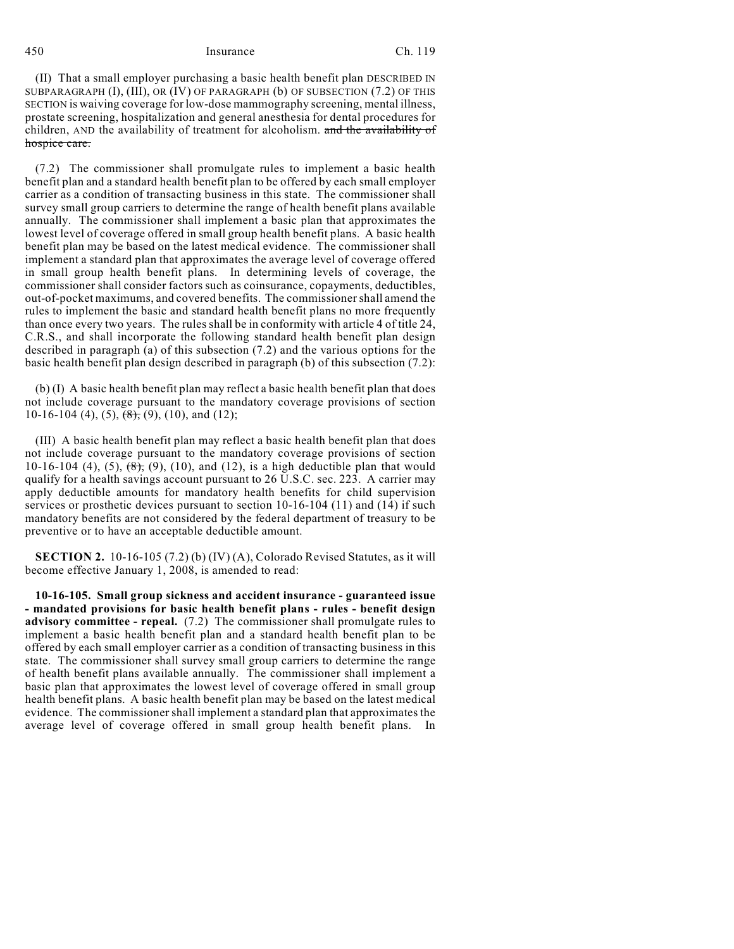### 450 Insurance Ch. 119

(II) That a small employer purchasing a basic health benefit plan DESCRIBED IN SUBPARAGRAPH (I), (III), OR (IV) OF PARAGRAPH (b) OF SUBSECTION (7.2) OF THIS SECTION is waiving coverage for low-dose mammography screening, mental illness, prostate screening, hospitalization and general anesthesia for dental procedures for children, AND the availability of treatment for alcoholism. and the availability of hospice care.

(7.2) The commissioner shall promulgate rules to implement a basic health benefit plan and a standard health benefit plan to be offered by each small employer carrier as a condition of transacting business in this state. The commissioner shall survey small group carriers to determine the range of health benefit plans available annually. The commissioner shall implement a basic plan that approximates the lowest level of coverage offered in small group health benefit plans. A basic health benefit plan may be based on the latest medical evidence. The commissioner shall implement a standard plan that approximates the average level of coverage offered in small group health benefit plans. In determining levels of coverage, the commissioner shall consider factors such as coinsurance, copayments, deductibles, out-of-pocket maximums, and covered benefits. The commissioner shall amend the rules to implement the basic and standard health benefit plans no more frequently than once every two years. The rules shall be in conformity with article 4 of title 24, C.R.S., and shall incorporate the following standard health benefit plan design described in paragraph (a) of this subsection (7.2) and the various options for the basic health benefit plan design described in paragraph (b) of this subsection (7.2):

(b) (I) A basic health benefit plan may reflect a basic health benefit plan that does not include coverage pursuant to the mandatory coverage provisions of section 10-16-104 (4), (5),  $\left(\frac{8}{6}\right)$ , (9), (10), and (12);

(III) A basic health benefit plan may reflect a basic health benefit plan that does not include coverage pursuant to the mandatory coverage provisions of section 10-16-104 (4), (5),  $(8)$ , (9), (10), and (12), is a high deductible plan that would qualify for a health savings account pursuant to 26 U.S.C. sec. 223. A carrier may apply deductible amounts for mandatory health benefits for child supervision services or prosthetic devices pursuant to section 10-16-104 (11) and (14) if such mandatory benefits are not considered by the federal department of treasury to be preventive or to have an acceptable deductible amount.

**SECTION 2.** 10-16-105 (7.2) (b) (IV) (A), Colorado Revised Statutes, as it will become effective January 1, 2008, is amended to read:

**10-16-105. Small group sickness and accident insurance - guaranteed issue - mandated provisions for basic health benefit plans - rules - benefit design advisory committee - repeal.** (7.2) The commissioner shall promulgate rules to implement a basic health benefit plan and a standard health benefit plan to be offered by each small employer carrier as a condition of transacting business in this state. The commissioner shall survey small group carriers to determine the range of health benefit plans available annually. The commissioner shall implement a basic plan that approximates the lowest level of coverage offered in small group health benefit plans. A basic health benefit plan may be based on the latest medical evidence. The commissioner shall implement a standard plan that approximates the average level of coverage offered in small group health benefit plans. In